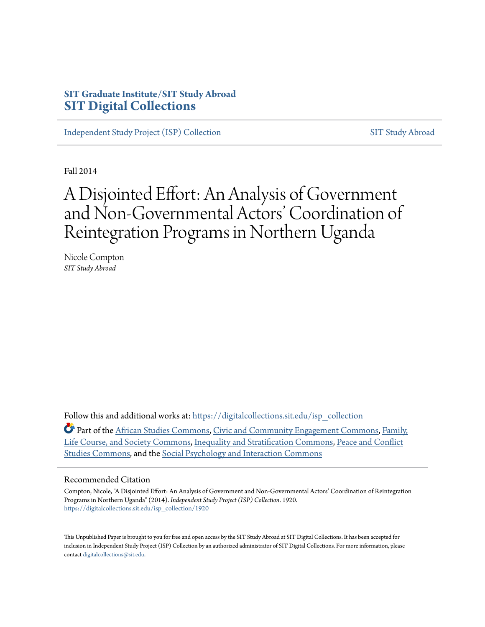## **SIT Graduate Institute/SIT Study Abroad [SIT Digital Collections](https://digitalcollections.sit.edu?utm_source=digitalcollections.sit.edu%2Fisp_collection%2F1920&utm_medium=PDF&utm_campaign=PDFCoverPages)**

[Independent Study Project \(ISP\) Collection](https://digitalcollections.sit.edu/isp_collection?utm_source=digitalcollections.sit.edu%2Fisp_collection%2F1920&utm_medium=PDF&utm_campaign=PDFCoverPages) [SIT Study Abroad](https://digitalcollections.sit.edu/study_abroad?utm_source=digitalcollections.sit.edu%2Fisp_collection%2F1920&utm_medium=PDF&utm_campaign=PDFCoverPages)

Fall 2014

# A Disjointed Effort: An Analysis of Government and Non-Governmental Actors' Coordination of Reintegration Programs in Northern Uganda

Nicole Compton *SIT Study Abroad*

Follow this and additional works at: [https://digitalcollections.sit.edu/isp\\_collection](https://digitalcollections.sit.edu/isp_collection?utm_source=digitalcollections.sit.edu%2Fisp_collection%2F1920&utm_medium=PDF&utm_campaign=PDFCoverPages)

Part of the [African Studies Commons](http://network.bepress.com/hgg/discipline/1043?utm_source=digitalcollections.sit.edu%2Fisp_collection%2F1920&utm_medium=PDF&utm_campaign=PDFCoverPages), [Civic and Community Engagement Commons,](http://network.bepress.com/hgg/discipline/1028?utm_source=digitalcollections.sit.edu%2Fisp_collection%2F1920&utm_medium=PDF&utm_campaign=PDFCoverPages) [Family,](http://network.bepress.com/hgg/discipline/419?utm_source=digitalcollections.sit.edu%2Fisp_collection%2F1920&utm_medium=PDF&utm_campaign=PDFCoverPages) [Life Course, and Society Commons,](http://network.bepress.com/hgg/discipline/419?utm_source=digitalcollections.sit.edu%2Fisp_collection%2F1920&utm_medium=PDF&utm_campaign=PDFCoverPages) [Inequality and Stratification Commons,](http://network.bepress.com/hgg/discipline/421?utm_source=digitalcollections.sit.edu%2Fisp_collection%2F1920&utm_medium=PDF&utm_campaign=PDFCoverPages) [Peace and Conflict](http://network.bepress.com/hgg/discipline/397?utm_source=digitalcollections.sit.edu%2Fisp_collection%2F1920&utm_medium=PDF&utm_campaign=PDFCoverPages) [Studies Commons](http://network.bepress.com/hgg/discipline/397?utm_source=digitalcollections.sit.edu%2Fisp_collection%2F1920&utm_medium=PDF&utm_campaign=PDFCoverPages), and the [Social Psychology and Interaction Commons](http://network.bepress.com/hgg/discipline/430?utm_source=digitalcollections.sit.edu%2Fisp_collection%2F1920&utm_medium=PDF&utm_campaign=PDFCoverPages)

#### Recommended Citation

Compton, Nicole, "A Disjointed Effort: An Analysis of Government and Non-Governmental Actors' Coordination of Reintegration Programs in Northern Uganda" (2014). *Independent Study Project (ISP) Collection*. 1920. [https://digitalcollections.sit.edu/isp\\_collection/1920](https://digitalcollections.sit.edu/isp_collection/1920?utm_source=digitalcollections.sit.edu%2Fisp_collection%2F1920&utm_medium=PDF&utm_campaign=PDFCoverPages)

This Unpublished Paper is brought to you for free and open access by the SIT Study Abroad at SIT Digital Collections. It has been accepted for inclusion in Independent Study Project (ISP) Collection by an authorized administrator of SIT Digital Collections. For more information, please contact [digitalcollections@sit.edu](mailto:digitalcollections@sit.edu).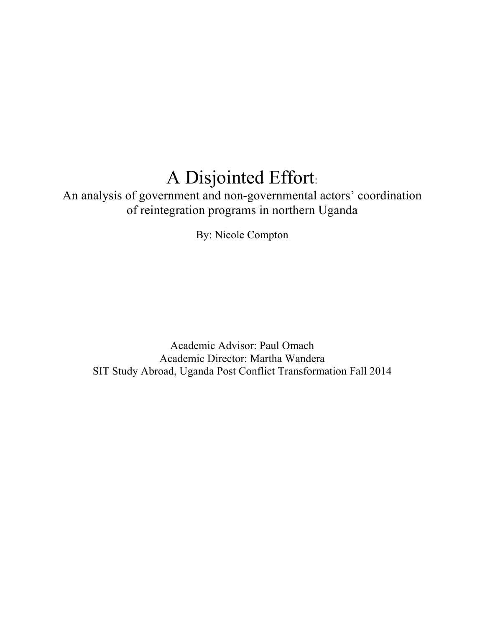# A Disjointed Effort:

An analysis of government and non-governmental actors' coordination of reintegration programs in northern Uganda

By: Nicole Compton

Academic Advisor: Paul Omach Academic Director: Martha Wandera SIT Study Abroad, Uganda Post Conflict Transformation Fall 2014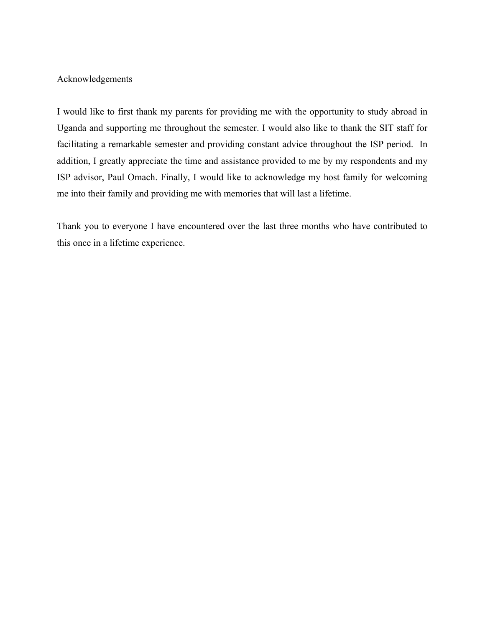#### Acknowledgements

I would like to first thank my parents for providing me with the opportunity to study abroad in Uganda and supporting me throughout the semester. I would also like to thank the SIT staff for facilitating a remarkable semester and providing constant advice throughout the ISP period. In addition, I greatly appreciate the time and assistance provided to me by my respondents and my ISP advisor, Paul Omach. Finally, I would like to acknowledge my host family for welcoming me into their family and providing me with memories that will last a lifetime.

Thank you to everyone I have encountered over the last three months who have contributed to this once in a lifetime experience.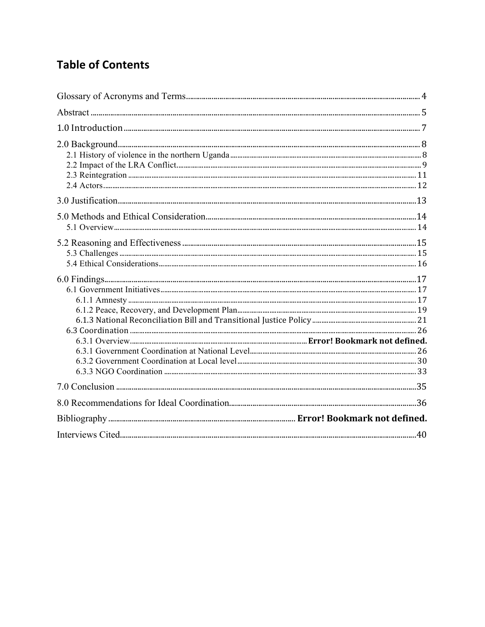## **Table of Contents**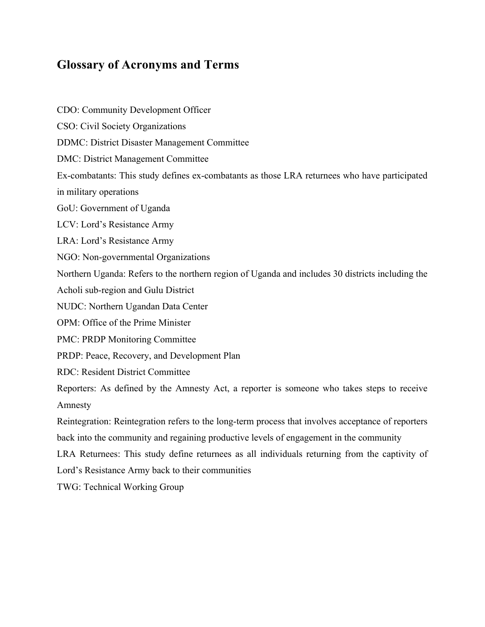## **Glossary of Acronyms and Terms**

CDO: Community Development Officer CSO: Civil Society Organizations DDMC: District Disaster Management Committee DMC: District Management Committee Ex-combatants: This study defines ex-combatants as those LRA returnees who have participated in military operations GoU: Government of Uganda LCV: Lord's Resistance Army LRA: Lord's Resistance Army NGO: Non-governmental Organizations Northern Uganda: Refers to the northern region of Uganda and includes 30 districts including the Acholi sub-region and Gulu District NUDC: Northern Ugandan Data Center OPM: Office of the Prime Minister PMC: PRDP Monitoring Committee PRDP: Peace, Recovery, and Development Plan RDC: Resident District Committee Reporters: As defined by the Amnesty Act, a reporter is someone who takes steps to receive Amnesty Reintegration: Reintegration refers to the long-term process that involves acceptance of reporters back into the community and regaining productive levels of engagement in the community LRA Returnees: This study define returnees as all individuals returning from the captivity of Lord's Resistance Army back to their communities TWG: Technical Working Group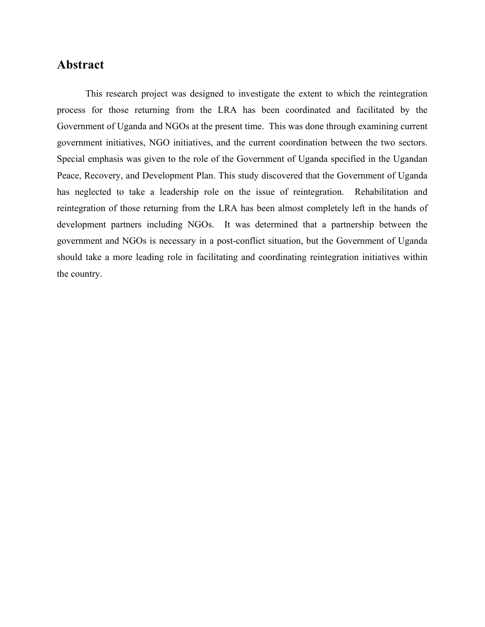## **Abstract**

This research project was designed to investigate the extent to which the reintegration process for those returning from the LRA has been coordinated and facilitated by the Government of Uganda and NGOs at the present time. This was done through examining current government initiatives, NGO initiatives, and the current coordination between the two sectors. Special emphasis was given to the role of the Government of Uganda specified in the Ugandan Peace, Recovery, and Development Plan. This study discovered that the Government of Uganda has neglected to take a leadership role on the issue of reintegration. Rehabilitation and reintegration of those returning from the LRA has been almost completely left in the hands of development partners including NGOs. It was determined that a partnership between the government and NGOs is necessary in a post-conflict situation, but the Government of Uganda should take a more leading role in facilitating and coordinating reintegration initiatives within the country.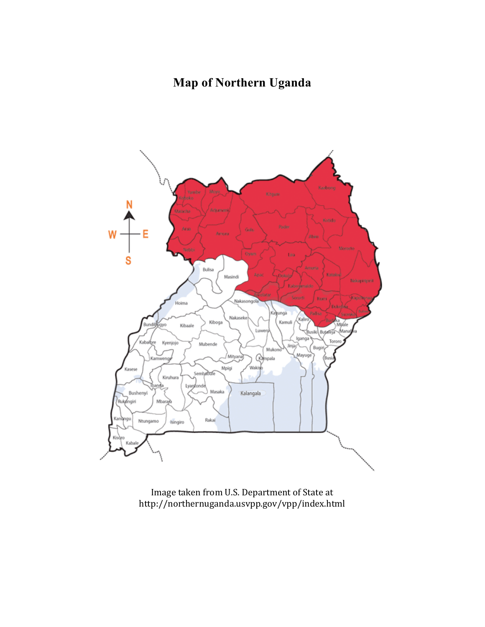## **Map of Northern Uganda**



Image taken from U.S. Department of State at http://northernuganda.usvpp.gov/vpp/index.html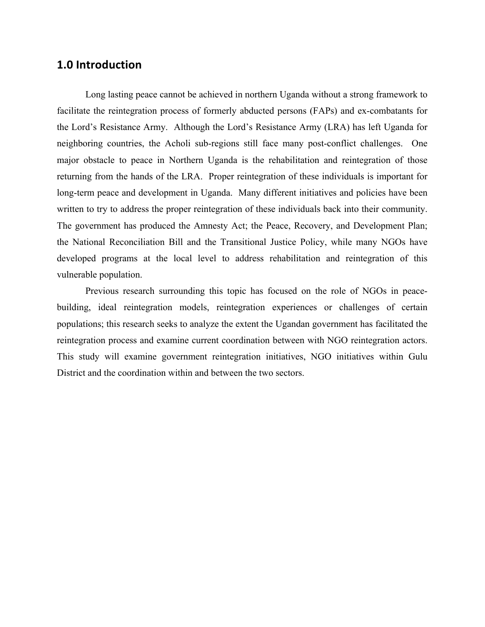### **1.0 Introduction**

Long lasting peace cannot be achieved in northern Uganda without a strong framework to facilitate the reintegration process of formerly abducted persons (FAPs) and ex-combatants for the Lord's Resistance Army. Although the Lord's Resistance Army (LRA) has left Uganda for neighboring countries, the Acholi sub-regions still face many post-conflict challenges. One major obstacle to peace in Northern Uganda is the rehabilitation and reintegration of those returning from the hands of the LRA. Proper reintegration of these individuals is important for long-term peace and development in Uganda. Many different initiatives and policies have been written to try to address the proper reintegration of these individuals back into their community. The government has produced the Amnesty Act; the Peace, Recovery, and Development Plan; the National Reconciliation Bill and the Transitional Justice Policy, while many NGOs have developed programs at the local level to address rehabilitation and reintegration of this vulnerable population.

Previous research surrounding this topic has focused on the role of NGOs in peacebuilding, ideal reintegration models, reintegration experiences or challenges of certain populations; this research seeks to analyze the extent the Ugandan government has facilitated the reintegration process and examine current coordination between with NGO reintegration actors. This study will examine government reintegration initiatives, NGO initiatives within Gulu District and the coordination within and between the two sectors.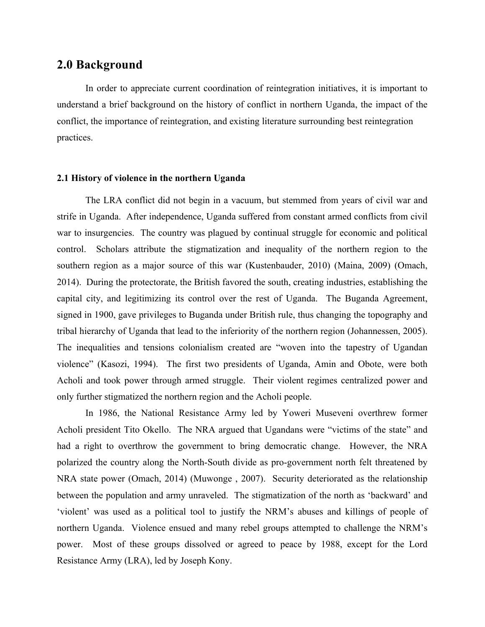## **2.0 Background**

In order to appreciate current coordination of reintegration initiatives, it is important to understand a brief background on the history of conflict in northern Uganda, the impact of the conflict, the importance of reintegration, and existing literature surrounding best reintegration practices.

#### **2.1 History of violence in the northern Uganda**

The LRA conflict did not begin in a vacuum, but stemmed from years of civil war and strife in Uganda. After independence, Uganda suffered from constant armed conflicts from civil war to insurgencies. The country was plagued by continual struggle for economic and political control. Scholars attribute the stigmatization and inequality of the northern region to the southern region as a major source of this war (Kustenbauder, 2010) (Maina, 2009) (Omach, 2014). During the protectorate, the British favored the south, creating industries, establishing the capital city, and legitimizing its control over the rest of Uganda. The Buganda Agreement, signed in 1900, gave privileges to Buganda under British rule, thus changing the topography and tribal hierarchy of Uganda that lead to the inferiority of the northern region (Johannessen, 2005). The inequalities and tensions colonialism created are "woven into the tapestry of Ugandan violence" (Kasozi, 1994). The first two presidents of Uganda, Amin and Obote, were both Acholi and took power through armed struggle. Their violent regimes centralized power and only further stigmatized the northern region and the Acholi people.

In 1986, the National Resistance Army led by Yoweri Museveni overthrew former Acholi president Tito Okello. The NRA argued that Ugandans were "victims of the state" and had a right to overthrow the government to bring democratic change. However, the NRA polarized the country along the North-South divide as pro-government north felt threatened by NRA state power (Omach, 2014) (Muwonge , 2007). Security deteriorated as the relationship between the population and army unraveled. The stigmatization of the north as 'backward' and 'violent' was used as a political tool to justify the NRM's abuses and killings of people of northern Uganda. Violence ensued and many rebel groups attempted to challenge the NRM's power. Most of these groups dissolved or agreed to peace by 1988, except for the Lord Resistance Army (LRA), led by Joseph Kony.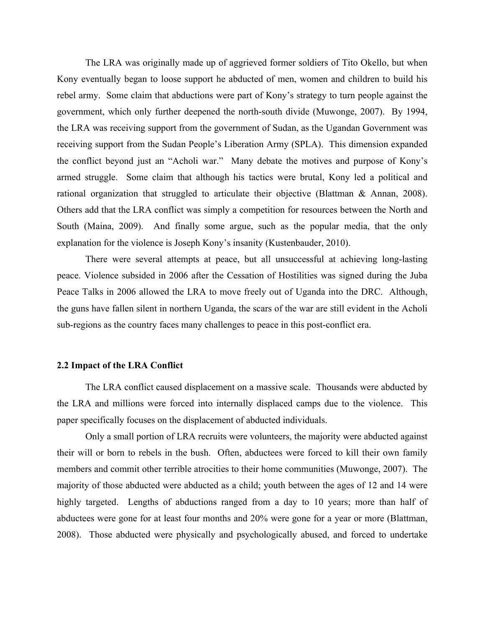The LRA was originally made up of aggrieved former soldiers of Tito Okello, but when Kony eventually began to loose support he abducted of men, women and children to build his rebel army. Some claim that abductions were part of Kony's strategy to turn people against the government, which only further deepened the north-south divide (Muwonge, 2007). By 1994, the LRA was receiving support from the government of Sudan, as the Ugandan Government was receiving support from the Sudan People's Liberation Army (SPLA). This dimension expanded the conflict beyond just an "Acholi war." Many debate the motives and purpose of Kony's armed struggle. Some claim that although his tactics were brutal, Kony led a political and rational organization that struggled to articulate their objective (Blattman & Annan, 2008). Others add that the LRA conflict was simply a competition for resources between the North and South (Maina, 2009). And finally some argue, such as the popular media, that the only explanation for the violence is Joseph Kony's insanity (Kustenbauder, 2010).

There were several attempts at peace, but all unsuccessful at achieving long-lasting peace. Violence subsided in 2006 after the Cessation of Hostilities was signed during the Juba Peace Talks in 2006 allowed the LRA to move freely out of Uganda into the DRC. Although, the guns have fallen silent in northern Uganda, the scars of the war are still evident in the Acholi sub-regions as the country faces many challenges to peace in this post-conflict era.

#### **2.2 Impact of the LRA Conflict**

The LRA conflict caused displacement on a massive scale. Thousands were abducted by the LRA and millions were forced into internally displaced camps due to the violence. This paper specifically focuses on the displacement of abducted individuals.

Only a small portion of LRA recruits were volunteers, the majority were abducted against their will or born to rebels in the bush. Often, abductees were forced to kill their own family members and commit other terrible atrocities to their home communities (Muwonge, 2007). The majority of those abducted were abducted as a child; youth between the ages of 12 and 14 were highly targeted. Lengths of abductions ranged from a day to 10 years; more than half of abductees were gone for at least four months and 20% were gone for a year or more (Blattman, 2008). Those abducted were physically and psychologically abused, and forced to undertake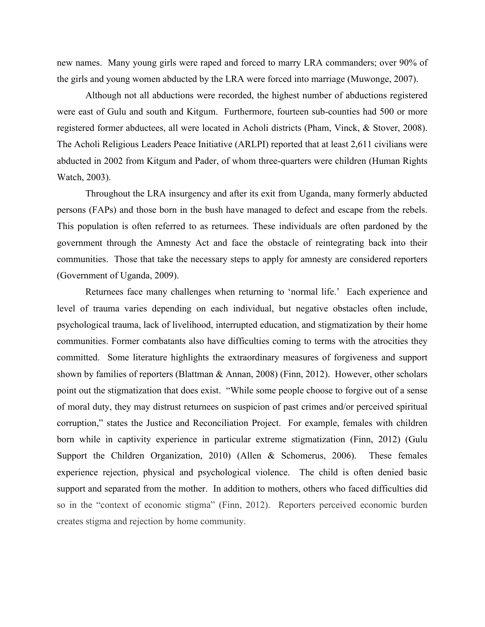new names. Many young girls were raped and forced to marry LRA commanders; over 90% of the girls and young women abducted by the LRA were forced into marriage (Muwonge, 2007).

Although not all abductions were recorded, the highest number of abductions registered were east of Gulu and south and Kitgum. Furthermore, fourteen sub-counties had 500 or more registered former abductees, all were located in Acholi districts (Pham, Vinck, & Stover, 2008). The Acholi Religious Leaders Peace Initiative (ARLPI) reported that at least 2,611 civilians were abducted in 2002 from Kitgum and Pader, of whom three-quarters were children (Human Rights Watch, 2003).

Throughout the LRA insurgency and after its exit from Uganda, many formerly abducted persons (FAPs) and those born in the bush have managed to defect and escape from the rebels. This population is often referred to as returnees. These individuals are often pardoned by the government through the Amnesty Act and face the obstacle of reintegrating back into their communities. Those that take the necessary steps to apply for amnesty are considered reporters (Government of Uganda, 2009).

Returnees face many challenges when returning to 'normal life.' Each experience and level of trauma varies depending on each individual, but negative obstacles often include, psychological trauma, lack of livelihood, interrupted education, and stigmatization by their home communities. Former combatants also have difficulties coming to terms with the atrocities they committed. Some literature highlights the extraordinary measures of forgiveness and support shown by families of reporters (Blattman & Annan, 2008) (Finn, 2012). However, other scholars point out the stigmatization that does exist. "While some people choose to forgive out of a sense of moral duty, they may distrust returnees on suspicion of past crimes and/or perceived spiritual corruption," states the Justice and Reconciliation Project. For example, females with children born while in captivity experience in particular extreme stigmatization (Finn, 2012) (Gulu Support the Children Organization, 2010) (Allen & Schomerus, 2006). These females experience rejection, physical and psychological violence. The child is often denied basic support and separated from the mother. In addition to mothers, others who faced difficulties did so in the "context of economic stigma" (Finn, 2012). Reporters perceived economic burden creates stigma and rejection by home community.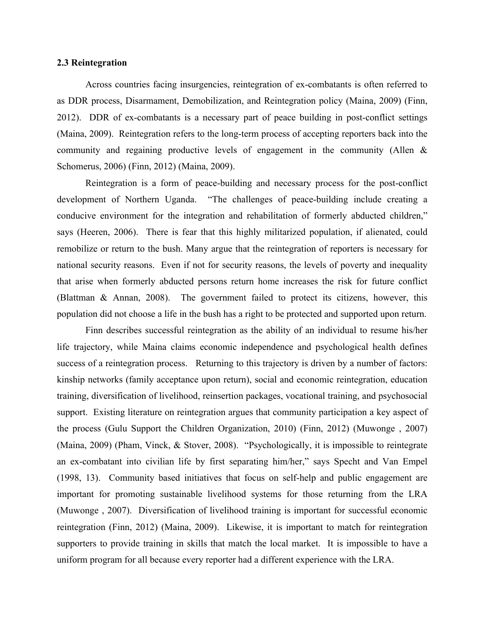#### **2.3 Reintegration**

Across countries facing insurgencies, reintegration of ex-combatants is often referred to as DDR process, Disarmament, Demobilization, and Reintegration policy (Maina, 2009) (Finn, 2012). DDR of ex-combatants is a necessary part of peace building in post-conflict settings (Maina, 2009). Reintegration refers to the long-term process of accepting reporters back into the community and regaining productive levels of engagement in the community (Allen & Schomerus, 2006) (Finn, 2012) (Maina, 2009).

Reintegration is a form of peace-building and necessary process for the post-conflict development of Northern Uganda. "The challenges of peace-building include creating a conducive environment for the integration and rehabilitation of formerly abducted children," says (Heeren, 2006). There is fear that this highly militarized population, if alienated, could remobilize or return to the bush. Many argue that the reintegration of reporters is necessary for national security reasons. Even if not for security reasons, the levels of poverty and inequality that arise when formerly abducted persons return home increases the risk for future conflict (Blattman & Annan, 2008). The government failed to protect its citizens, however, this population did not choose a life in the bush has a right to be protected and supported upon return.

Finn describes successful reintegration as the ability of an individual to resume his/her life trajectory, while Maina claims economic independence and psychological health defines success of a reintegration process. Returning to this trajectory is driven by a number of factors: kinship networks (family acceptance upon return), social and economic reintegration, education training, diversification of livelihood, reinsertion packages, vocational training, and psychosocial support. Existing literature on reintegration argues that community participation a key aspect of the process (Gulu Support the Children Organization, 2010) (Finn, 2012) (Muwonge , 2007) (Maina, 2009) (Pham, Vinck, & Stover, 2008). "Psychologically, it is impossible to reintegrate an ex-combatant into civilian life by first separating him/her," says Specht and Van Empel (1998, 13). Community based initiatives that focus on self-help and public engagement are important for promoting sustainable livelihood systems for those returning from the LRA (Muwonge , 2007). Diversification of livelihood training is important for successful economic reintegration (Finn, 2012) (Maina, 2009). Likewise, it is important to match for reintegration supporters to provide training in skills that match the local market. It is impossible to have a uniform program for all because every reporter had a different experience with the LRA.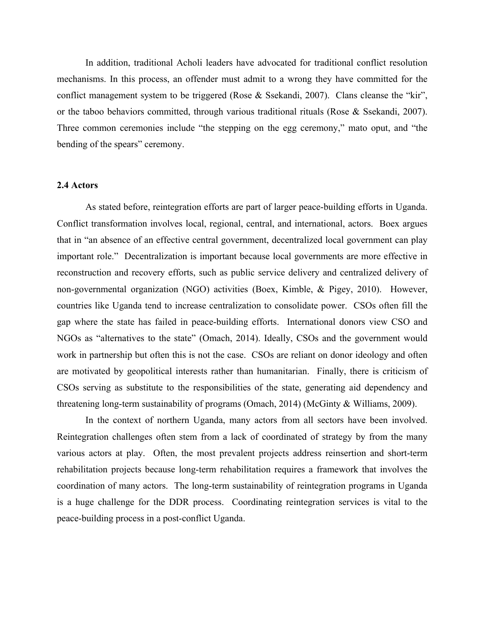In addition, traditional Acholi leaders have advocated for traditional conflict resolution mechanisms. In this process, an offender must admit to a wrong they have committed for the conflict management system to be triggered (Rose & Ssekandi, 2007). Clans cleanse the "kir", or the taboo behaviors committed, through various traditional rituals (Rose & Ssekandi, 2007). Three common ceremonies include "the stepping on the egg ceremony," mato oput, and "the bending of the spears" ceremony.

#### **2.4 Actors**

As stated before, reintegration efforts are part of larger peace-building efforts in Uganda. Conflict transformation involves local, regional, central, and international, actors. Boex argues that in "an absence of an effective central government, decentralized local government can play important role." Decentralization is important because local governments are more effective in reconstruction and recovery efforts, such as public service delivery and centralized delivery of non-governmental organization (NGO) activities (Boex, Kimble, & Pigey, 2010). However, countries like Uganda tend to increase centralization to consolidate power. CSOs often fill the gap where the state has failed in peace-building efforts. International donors view CSO and NGOs as "alternatives to the state" (Omach, 2014). Ideally, CSOs and the government would work in partnership but often this is not the case. CSOs are reliant on donor ideology and often are motivated by geopolitical interests rather than humanitarian. Finally, there is criticism of CSOs serving as substitute to the responsibilities of the state, generating aid dependency and threatening long-term sustainability of programs (Omach, 2014) (McGinty & Williams, 2009).

In the context of northern Uganda, many actors from all sectors have been involved. Reintegration challenges often stem from a lack of coordinated of strategy by from the many various actors at play. Often, the most prevalent projects address reinsertion and short-term rehabilitation projects because long-term rehabilitation requires a framework that involves the coordination of many actors. The long-term sustainability of reintegration programs in Uganda is a huge challenge for the DDR process. Coordinating reintegration services is vital to the peace-building process in a post-conflict Uganda.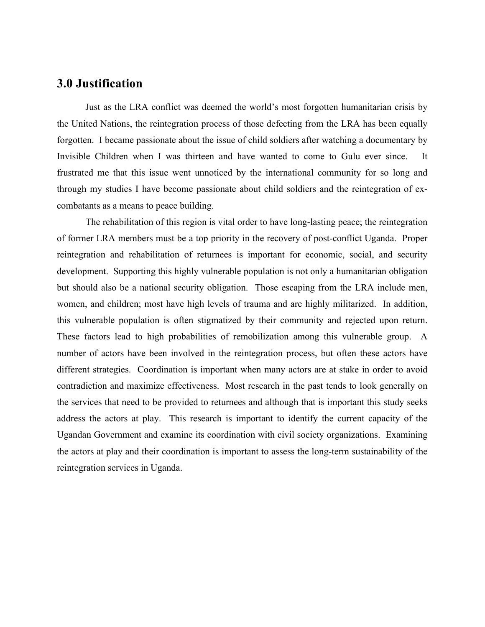## **3.0 Justification**

Just as the LRA conflict was deemed the world's most forgotten humanitarian crisis by the United Nations, the reintegration process of those defecting from the LRA has been equally forgotten. I became passionate about the issue of child soldiers after watching a documentary by Invisible Children when I was thirteen and have wanted to come to Gulu ever since. It frustrated me that this issue went unnoticed by the international community for so long and through my studies I have become passionate about child soldiers and the reintegration of excombatants as a means to peace building.

The rehabilitation of this region is vital order to have long-lasting peace; the reintegration of former LRA members must be a top priority in the recovery of post-conflict Uganda. Proper reintegration and rehabilitation of returnees is important for economic, social, and security development. Supporting this highly vulnerable population is not only a humanitarian obligation but should also be a national security obligation. Those escaping from the LRA include men, women, and children; most have high levels of trauma and are highly militarized. In addition, this vulnerable population is often stigmatized by their community and rejected upon return. These factors lead to high probabilities of remobilization among this vulnerable group. A number of actors have been involved in the reintegration process, but often these actors have different strategies. Coordination is important when many actors are at stake in order to avoid contradiction and maximize effectiveness. Most research in the past tends to look generally on the services that need to be provided to returnees and although that is important this study seeks address the actors at play. This research is important to identify the current capacity of the Ugandan Government and examine its coordination with civil society organizations. Examining the actors at play and their coordination is important to assess the long-term sustainability of the reintegration services in Uganda.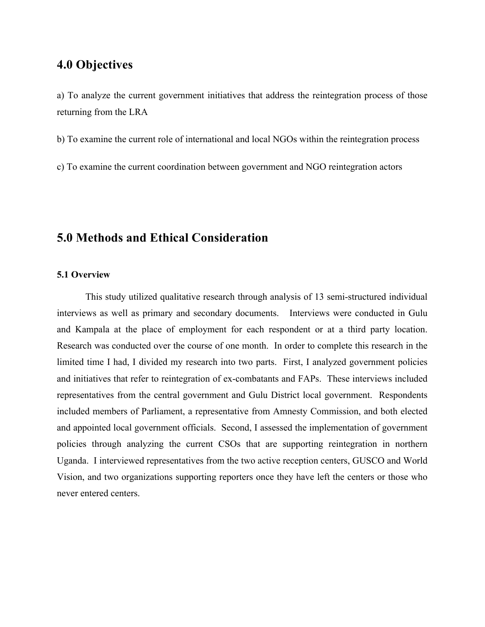## **4.0 Objectives**

a) To analyze the current government initiatives that address the reintegration process of those returning from the LRA

b) To examine the current role of international and local NGOs within the reintegration process

c) To examine the current coordination between government and NGO reintegration actors

## **5.0 Methods and Ethical Consideration**

#### **5.1 Overview**

This study utilized qualitative research through analysis of 13 semi-structured individual interviews as well as primary and secondary documents. Interviews were conducted in Gulu and Kampala at the place of employment for each respondent or at a third party location. Research was conducted over the course of one month. In order to complete this research in the limited time I had, I divided my research into two parts. First, I analyzed government policies and initiatives that refer to reintegration of ex-combatants and FAPs. These interviews included representatives from the central government and Gulu District local government. Respondents included members of Parliament, a representative from Amnesty Commission, and both elected and appointed local government officials. Second, I assessed the implementation of government policies through analyzing the current CSOs that are supporting reintegration in northern Uganda. I interviewed representatives from the two active reception centers, GUSCO and World Vision, and two organizations supporting reporters once they have left the centers or those who never entered centers.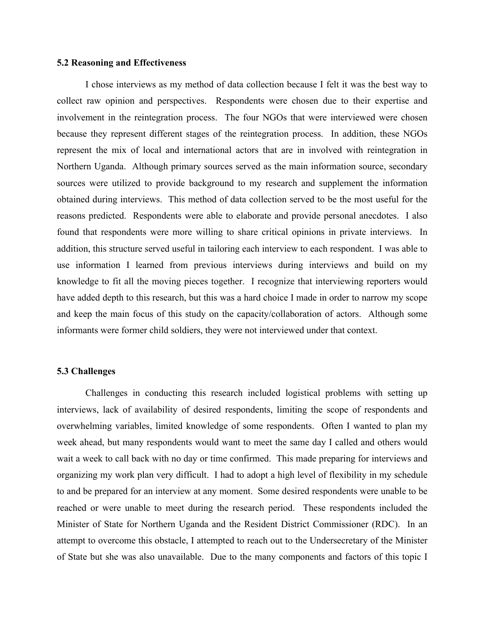#### **5.2 Reasoning and Effectiveness**

I chose interviews as my method of data collection because I felt it was the best way to collect raw opinion and perspectives. Respondents were chosen due to their expertise and involvement in the reintegration process. The four NGOs that were interviewed were chosen because they represent different stages of the reintegration process. In addition, these NGOs represent the mix of local and international actors that are in involved with reintegration in Northern Uganda. Although primary sources served as the main information source, secondary sources were utilized to provide background to my research and supplement the information obtained during interviews. This method of data collection served to be the most useful for the reasons predicted. Respondents were able to elaborate and provide personal anecdotes. I also found that respondents were more willing to share critical opinions in private interviews. In addition, this structure served useful in tailoring each interview to each respondent. I was able to use information I learned from previous interviews during interviews and build on my knowledge to fit all the moving pieces together. I recognize that interviewing reporters would have added depth to this research, but this was a hard choice I made in order to narrow my scope and keep the main focus of this study on the capacity/collaboration of actors. Although some informants were former child soldiers, they were not interviewed under that context.

#### **5.3 Challenges**

Challenges in conducting this research included logistical problems with setting up interviews, lack of availability of desired respondents, limiting the scope of respondents and overwhelming variables, limited knowledge of some respondents. Often I wanted to plan my week ahead, but many respondents would want to meet the same day I called and others would wait a week to call back with no day or time confirmed. This made preparing for interviews and organizing my work plan very difficult. I had to adopt a high level of flexibility in my schedule to and be prepared for an interview at any moment. Some desired respondents were unable to be reached or were unable to meet during the research period. These respondents included the Minister of State for Northern Uganda and the Resident District Commissioner (RDC). In an attempt to overcome this obstacle, I attempted to reach out to the Undersecretary of the Minister of State but she was also unavailable. Due to the many components and factors of this topic I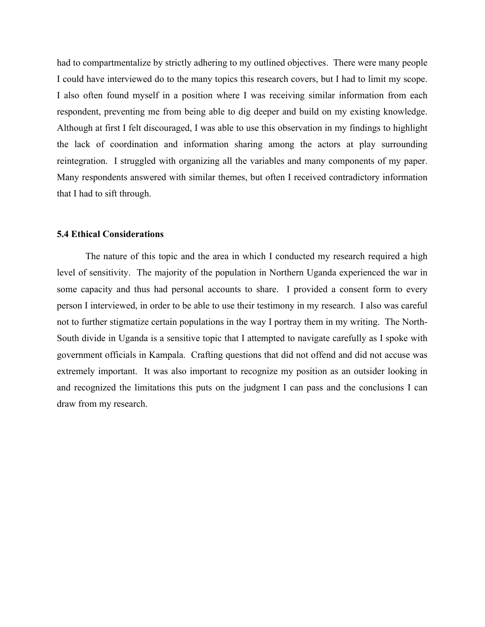had to compartmentalize by strictly adhering to my outlined objectives. There were many people I could have interviewed do to the many topics this research covers, but I had to limit my scope. I also often found myself in a position where I was receiving similar information from each respondent, preventing me from being able to dig deeper and build on my existing knowledge. Although at first I felt discouraged, I was able to use this observation in my findings to highlight the lack of coordination and information sharing among the actors at play surrounding reintegration. I struggled with organizing all the variables and many components of my paper. Many respondents answered with similar themes, but often I received contradictory information that I had to sift through.

#### **5.4 Ethical Considerations**

The nature of this topic and the area in which I conducted my research required a high level of sensitivity. The majority of the population in Northern Uganda experienced the war in some capacity and thus had personal accounts to share. I provided a consent form to every person I interviewed, in order to be able to use their testimony in my research. I also was careful not to further stigmatize certain populations in the way I portray them in my writing. The North-South divide in Uganda is a sensitive topic that I attempted to navigate carefully as I spoke with government officials in Kampala. Crafting questions that did not offend and did not accuse was extremely important. It was also important to recognize my position as an outsider looking in and recognized the limitations this puts on the judgment I can pass and the conclusions I can draw from my research.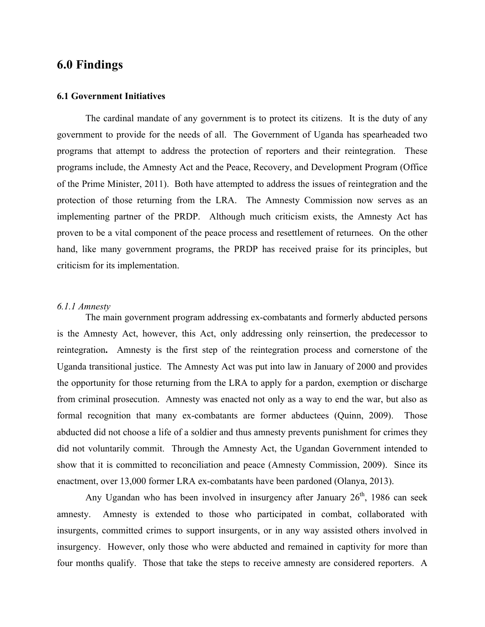## **6.0 Findings**

#### **6.1 Government Initiatives**

The cardinal mandate of any government is to protect its citizens. It is the duty of any government to provide for the needs of all. The Government of Uganda has spearheaded two programs that attempt to address the protection of reporters and their reintegration. These programs include, the Amnesty Act and the Peace, Recovery, and Development Program (Office of the Prime Minister, 2011). Both have attempted to address the issues of reintegration and the protection of those returning from the LRA. The Amnesty Commission now serves as an implementing partner of the PRDP. Although much criticism exists, the Amnesty Act has proven to be a vital component of the peace process and resettlement of returnees. On the other hand, like many government programs, the PRDP has received praise for its principles, but criticism for its implementation.

#### *6.1.1 Amnesty*

The main government program addressing ex-combatants and formerly abducted persons is the Amnesty Act, however, this Act, only addressing only reinsertion, the predecessor to reintegration**.** Amnesty is the first step of the reintegration process and cornerstone of the Uganda transitional justice. The Amnesty Act was put into law in January of 2000 and provides the opportunity for those returning from the LRA to apply for a pardon, exemption or discharge from criminal prosecution. Amnesty was enacted not only as a way to end the war, but also as formal recognition that many ex-combatants are former abductees (Quinn, 2009). Those abducted did not choose a life of a soldier and thus amnesty prevents punishment for crimes they did not voluntarily commit. Through the Amnesty Act, the Ugandan Government intended to show that it is committed to reconciliation and peace (Amnesty Commission, 2009). Since its enactment, over 13,000 former LRA ex-combatants have been pardoned (Olanya, 2013).

Any Ugandan who has been involved in insurgency after January  $26<sup>th</sup>$ , 1986 can seek amnesty. Amnesty is extended to those who participated in combat, collaborated with insurgents, committed crimes to support insurgents, or in any way assisted others involved in insurgency. However, only those who were abducted and remained in captivity for more than four months qualify. Those that take the steps to receive amnesty are considered reporters. A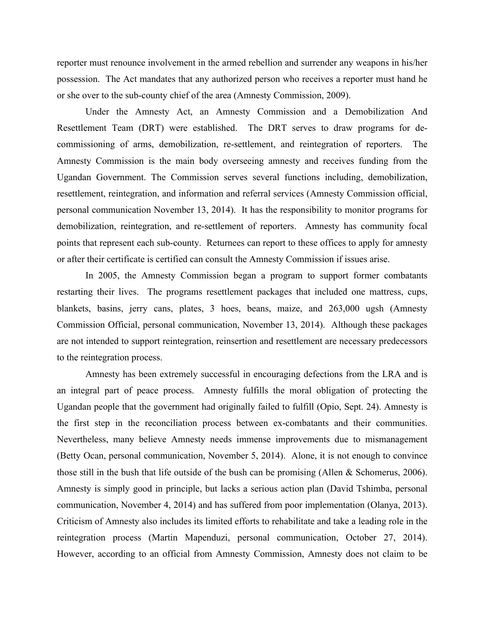reporter must renounce involvement in the armed rebellion and surrender any weapons in his/her possession. The Act mandates that any authorized person who receives a reporter must hand he or she over to the sub-county chief of the area (Amnesty Commission, 2009).

Under the Amnesty Act, an Amnesty Commission and a Demobilization And Resettlement Team (DRT) were established. The DRT serves to draw programs for decommissioning of arms, demobilization, re-settlement, and reintegration of reporters. The Amnesty Commission is the main body overseeing amnesty and receives funding from the Ugandan Government. The Commission serves several functions including, demobilization, resettlement, reintegration, and information and referral services (Amnesty Commission official, personal communication November 13, 2014). It has the responsibility to monitor programs for demobilization, reintegration, and re-settlement of reporters. Amnesty has community focal points that represent each sub-county. Returnees can report to these offices to apply for amnesty or after their certificate is certified can consult the Amnesty Commission if issues arise.

In 2005, the Amnesty Commission began a program to support former combatants restarting their lives. The programs resettlement packages that included one mattress, cups, blankets, basins, jerry cans, plates, 3 hoes, beans, maize, and 263,000 ugsh (Amnesty Commission Official, personal communication, November 13, 2014). Although these packages are not intended to support reintegration, reinsertion and resettlement are necessary predecessors to the reintegration process.

Amnesty has been extremely successful in encouraging defections from the LRA and is an integral part of peace process. Amnesty fulfills the moral obligation of protecting the Ugandan people that the government had originally failed to fulfill (Opio, Sept. 24). Amnesty is the first step in the reconciliation process between ex-combatants and their communities. Nevertheless, many believe Amnesty needs immense improvements due to mismanagement (Betty Ocan, personal communication, November 5, 2014). Alone, it is not enough to convince those still in the bush that life outside of the bush can be promising (Allen & Schomerus, 2006). Amnesty is simply good in principle, but lacks a serious action plan (David Tshimba, personal communication, November 4, 2014) and has suffered from poor implementation (Olanya, 2013). Criticism of Amnesty also includes its limited efforts to rehabilitate and take a leading role in the reintegration process (Martin Mapenduzi, personal communication, October 27, 2014). However, according to an official from Amnesty Commission, Amnesty does not claim to be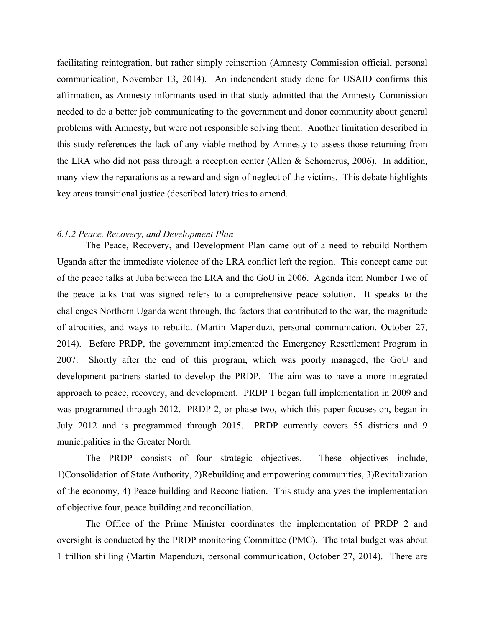facilitating reintegration, but rather simply reinsertion (Amnesty Commission official, personal communication, November 13, 2014). An independent study done for USAID confirms this affirmation, as Amnesty informants used in that study admitted that the Amnesty Commission needed to do a better job communicating to the government and donor community about general problems with Amnesty, but were not responsible solving them. Another limitation described in this study references the lack of any viable method by Amnesty to assess those returning from the LRA who did not pass through a reception center (Allen & Schomerus, 2006). In addition, many view the reparations as a reward and sign of neglect of the victims. This debate highlights key areas transitional justice (described later) tries to amend.

#### *6.1.2 Peace, Recovery, and Development Plan*

The Peace, Recovery, and Development Plan came out of a need to rebuild Northern Uganda after the immediate violence of the LRA conflict left the region. This concept came out of the peace talks at Juba between the LRA and the GoU in 2006. Agenda item Number Two of the peace talks that was signed refers to a comprehensive peace solution. It speaks to the challenges Northern Uganda went through, the factors that contributed to the war, the magnitude of atrocities, and ways to rebuild. (Martin Mapenduzi, personal communication, October 27, 2014). Before PRDP, the government implemented the Emergency Resettlement Program in 2007. Shortly after the end of this program, which was poorly managed, the GoU and development partners started to develop the PRDP. The aim was to have a more integrated approach to peace, recovery, and development. PRDP 1 began full implementation in 2009 and was programmed through 2012. PRDP 2, or phase two, which this paper focuses on, began in July 2012 and is programmed through 2015. PRDP currently covers 55 districts and 9 municipalities in the Greater North.

The PRDP consists of four strategic objectives. These objectives include, 1)Consolidation of State Authority, 2)Rebuilding and empowering communities, 3)Revitalization of the economy, 4) Peace building and Reconciliation. This study analyzes the implementation of objective four, peace building and reconciliation.

The Office of the Prime Minister coordinates the implementation of PRDP 2 and oversight is conducted by the PRDP monitoring Committee (PMC). The total budget was about 1 trillion shilling (Martin Mapenduzi, personal communication, October 27, 2014). There are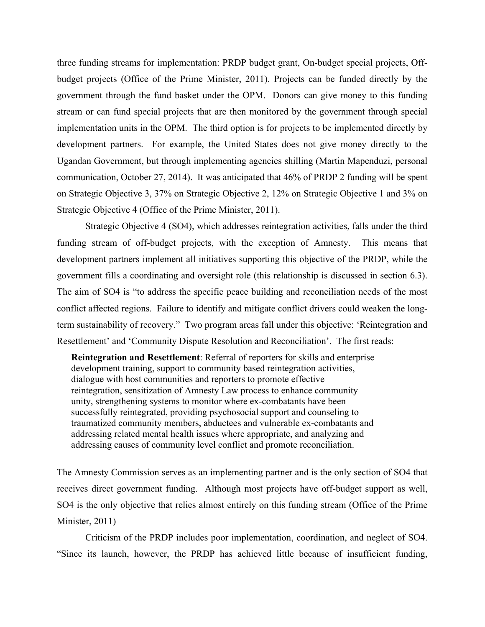three funding streams for implementation: PRDP budget grant, On-budget special projects, Offbudget projects (Office of the Prime Minister, 2011). Projects can be funded directly by the government through the fund basket under the OPM. Donors can give money to this funding stream or can fund special projects that are then monitored by the government through special implementation units in the OPM. The third option is for projects to be implemented directly by development partners. For example, the United States does not give money directly to the Ugandan Government, but through implementing agencies shilling (Martin Mapenduzi, personal communication, October 27, 2014). It was anticipated that 46% of PRDP 2 funding will be spent on Strategic Objective 3, 37% on Strategic Objective 2, 12% on Strategic Objective 1 and 3% on Strategic Objective 4 (Office of the Prime Minister, 2011).

Strategic Objective 4 (SO4), which addresses reintegration activities, falls under the third funding stream of off-budget projects, with the exception of Amnesty. This means that development partners implement all initiatives supporting this objective of the PRDP, while the government fills a coordinating and oversight role (this relationship is discussed in section 6.3). The aim of SO4 is "to address the specific peace building and reconciliation needs of the most conflict affected regions. Failure to identify and mitigate conflict drivers could weaken the longterm sustainability of recovery." Two program areas fall under this objective: 'Reintegration and Resettlement' and 'Community Dispute Resolution and Reconciliation'. The first reads:

 **Reintegration and Resettlement**: Referral of reporters for skills and enterprise development training, support to community based reintegration activities, dialogue with host communities and reporters to promote effective reintegration, sensitization of Amnesty Law process to enhance community unity, strengthening systems to monitor where ex-combatants have been successfully reintegrated, providing psychosocial support and counseling to traumatized community members, abductees and vulnerable ex-combatants and addressing related mental health issues where appropriate, and analyzing and addressing causes of community level conflict and promote reconciliation.

The Amnesty Commission serves as an implementing partner and is the only section of SO4 that receives direct government funding. Although most projects have off-budget support as well, SO4 is the only objective that relies almost entirely on this funding stream (Office of the Prime Minister, 2011)

Criticism of the PRDP includes poor implementation, coordination, and neglect of SO4. "Since its launch, however, the PRDP has achieved little because of insufficient funding,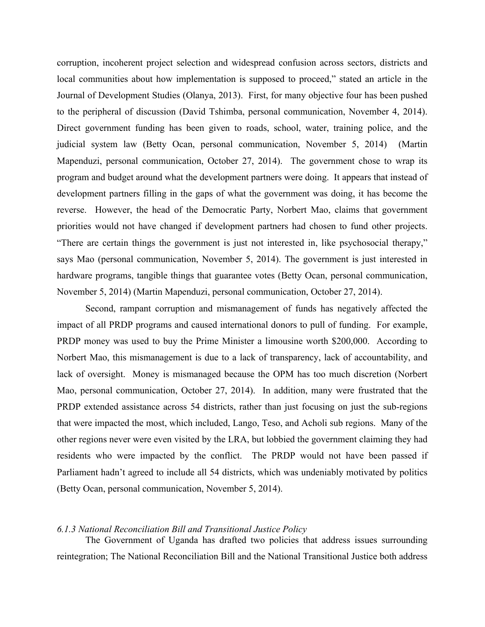corruption, incoherent project selection and widespread confusion across sectors, districts and local communities about how implementation is supposed to proceed," stated an article in the Journal of Development Studies (Olanya, 2013). First, for many objective four has been pushed to the peripheral of discussion (David Tshimba, personal communication, November 4, 2014). Direct government funding has been given to roads, school, water, training police, and the judicial system law (Betty Ocan, personal communication, November 5, 2014) (Martin Mapenduzi, personal communication, October 27, 2014). The government chose to wrap its program and budget around what the development partners were doing. It appears that instead of development partners filling in the gaps of what the government was doing, it has become the reverse. However, the head of the Democratic Party, Norbert Mao, claims that government priorities would not have changed if development partners had chosen to fund other projects. "There are certain things the government is just not interested in, like psychosocial therapy," says Mao (personal communication, November 5, 2014). The government is just interested in hardware programs, tangible things that guarantee votes (Betty Ocan, personal communication, November 5, 2014) (Martin Mapenduzi, personal communication, October 27, 2014).

Second, rampant corruption and mismanagement of funds has negatively affected the impact of all PRDP programs and caused international donors to pull of funding. For example, PRDP money was used to buy the Prime Minister a limousine worth \$200,000. According to Norbert Mao, this mismanagement is due to a lack of transparency, lack of accountability, and lack of oversight. Money is mismanaged because the OPM has too much discretion (Norbert Mao, personal communication, October 27, 2014). In addition, many were frustrated that the PRDP extended assistance across 54 districts, rather than just focusing on just the sub-regions that were impacted the most, which included, Lango, Teso, and Acholi sub regions. Many of the other regions never were even visited by the LRA, but lobbied the government claiming they had residents who were impacted by the conflict. The PRDP would not have been passed if Parliament hadn't agreed to include all 54 districts, which was undeniably motivated by politics (Betty Ocan, personal communication, November 5, 2014).

#### *6.1.3 National Reconciliation Bill and Transitional Justice Policy*

The Government of Uganda has drafted two policies that address issues surrounding reintegration; The National Reconciliation Bill and the National Transitional Justice both address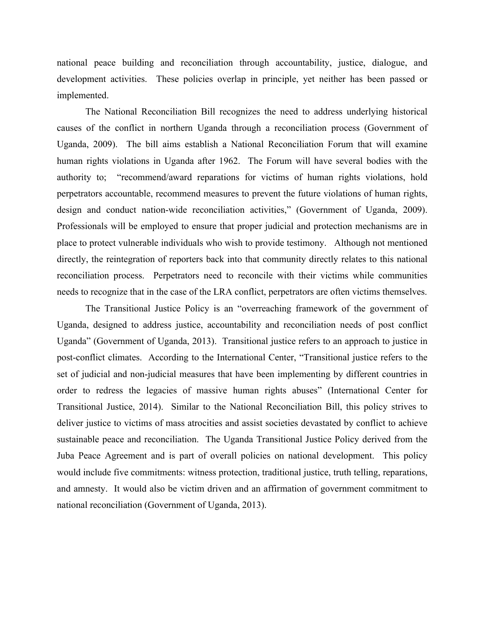national peace building and reconciliation through accountability, justice, dialogue, and development activities. These policies overlap in principle, yet neither has been passed or implemented.

The National Reconciliation Bill recognizes the need to address underlying historical causes of the conflict in northern Uganda through a reconciliation process (Government of Uganda, 2009). The bill aims establish a National Reconciliation Forum that will examine human rights violations in Uganda after 1962. The Forum will have several bodies with the authority to; "recommend/award reparations for victims of human rights violations, hold perpetrators accountable, recommend measures to prevent the future violations of human rights, design and conduct nation-wide reconciliation activities," (Government of Uganda, 2009). Professionals will be employed to ensure that proper judicial and protection mechanisms are in place to protect vulnerable individuals who wish to provide testimony. Although not mentioned directly, the reintegration of reporters back into that community directly relates to this national reconciliation process. Perpetrators need to reconcile with their victims while communities needs to recognize that in the case of the LRA conflict, perpetrators are often victims themselves.

The Transitional Justice Policy is an "overreaching framework of the government of Uganda, designed to address justice, accountability and reconciliation needs of post conflict Uganda" (Government of Uganda, 2013). Transitional justice refers to an approach to justice in post-conflict climates. According to the International Center, "Transitional justice refers to the set of judicial and non-judicial measures that have been implementing by different countries in order to redress the legacies of massive human rights abuses" (International Center for Transitional Justice, 2014). Similar to the National Reconciliation Bill, this policy strives to deliver justice to victims of mass atrocities and assist societies devastated by conflict to achieve sustainable peace and reconciliation. The Uganda Transitional Justice Policy derived from the Juba Peace Agreement and is part of overall policies on national development. This policy would include five commitments: witness protection, traditional justice, truth telling, reparations, and amnesty. It would also be victim driven and an affirmation of government commitment to national reconciliation (Government of Uganda, 2013).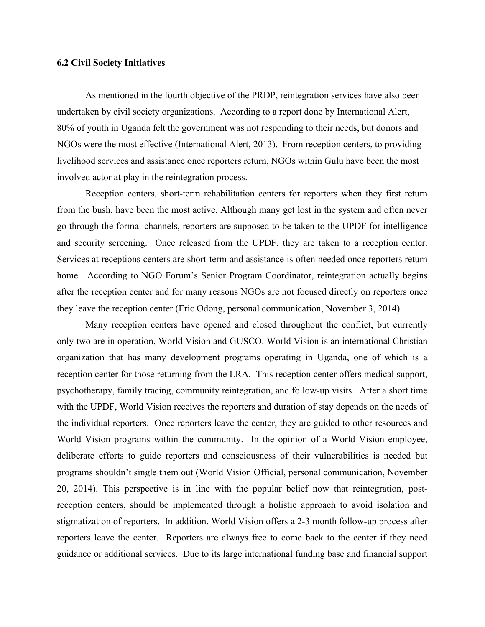#### **6.2 Civil Society Initiatives**

As mentioned in the fourth objective of the PRDP, reintegration services have also been undertaken by civil society organizations. According to a report done by International Alert, 80% of youth in Uganda felt the government was not responding to their needs, but donors and NGOs were the most effective (International Alert, 2013). From reception centers, to providing livelihood services and assistance once reporters return, NGOs within Gulu have been the most involved actor at play in the reintegration process.

Reception centers, short-term rehabilitation centers for reporters when they first return from the bush, have been the most active. Although many get lost in the system and often never go through the formal channels, reporters are supposed to be taken to the UPDF for intelligence and security screening. Once released from the UPDF, they are taken to a reception center. Services at receptions centers are short-term and assistance is often needed once reporters return home. According to NGO Forum's Senior Program Coordinator, reintegration actually begins after the reception center and for many reasons NGOs are not focused directly on reporters once they leave the reception center (Eric Odong, personal communication, November 3, 2014).

Many reception centers have opened and closed throughout the conflict, but currently only two are in operation, World Vision and GUSCO. World Vision is an international Christian organization that has many development programs operating in Uganda, one of which is a reception center for those returning from the LRA. This reception center offers medical support, psychotherapy, family tracing, community reintegration, and follow-up visits. After a short time with the UPDF, World Vision receives the reporters and duration of stay depends on the needs of the individual reporters. Once reporters leave the center, they are guided to other resources and World Vision programs within the community. In the opinion of a World Vision employee, deliberate efforts to guide reporters and consciousness of their vulnerabilities is needed but programs shouldn't single them out (World Vision Official, personal communication, November 20, 2014). This perspective is in line with the popular belief now that reintegration, postreception centers, should be implemented through a holistic approach to avoid isolation and stigmatization of reporters. In addition, World Vision offers a 2-3 month follow-up process after reporters leave the center. Reporters are always free to come back to the center if they need guidance or additional services. Due to its large international funding base and financial support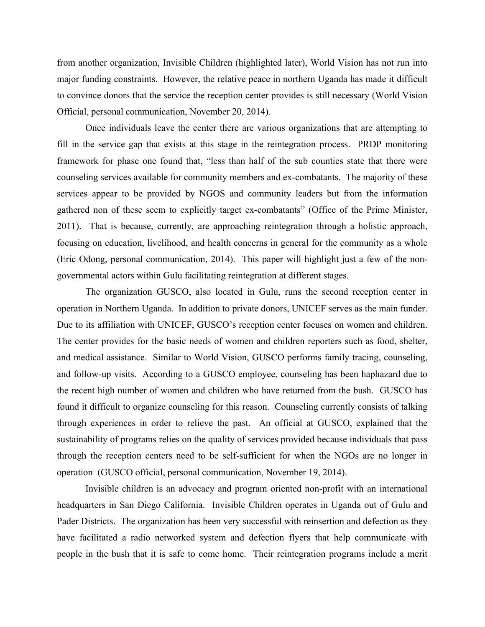from another organization, Invisible Children (highlighted later), World Vision has not run into major funding constraints. However, the relative peace in northern Uganda has made it difficult to convince donors that the service the reception center provides is still necessary (World Vision Official, personal communication, November 20, 2014).

Once individuals leave the center there are various organizations that are attempting to fill in the service gap that exists at this stage in the reintegration process. PRDP monitoring framework for phase one found that, "less than half of the sub counties state that there were counseling services available for community members and ex-combatants. The majority of these services appear to be provided by NGOS and community leaders but from the information gathered non of these seem to explicitly target ex-combatants" (Office of the Prime Minister, 2011). That is because, currently, are approaching reintegration through a holistic approach, focusing on education, livelihood, and health concerns in general for the community as a whole (Eric Odong, personal communication, 2014). This paper will highlight just a few of the nongovernmental actors within Gulu facilitating reintegration at different stages.

The organization GUSCO, also located in Gulu, runs the second reception center in operation in Northern Uganda. In addition to private donors, UNICEF serves as the main funder. Due to its affiliation with UNICEF, GUSCO's reception center focuses on women and children. The center provides for the basic needs of women and children reporters such as food, shelter, and medical assistance. Similar to World Vision, GUSCO performs family tracing, counseling, and follow-up visits. According to a GUSCO employee, counseling has been haphazard due to the recent high number of women and children who have returned from the bush. GUSCO has found it difficult to organize counseling for this reason. Counseling currently consists of talking through experiences in order to relieve the past. An official at GUSCO, explained that the sustainability of programs relies on the quality of services provided because individuals that pass through the reception centers need to be self-sufficient for when the NGOs are no longer in operation (GUSCO official, personal communication, November 19, 2014).

Invisible children is an advocacy and program oriented non-profit with an international headquarters in San Diego California. Invisible Children operates in Uganda out of Gulu and Pader Districts. The organization has been very successful with reinsertion and defection as they have facilitated a radio networked system and defection flyers that help communicate with people in the bush that it is safe to come home. Their reintegration programs include a merit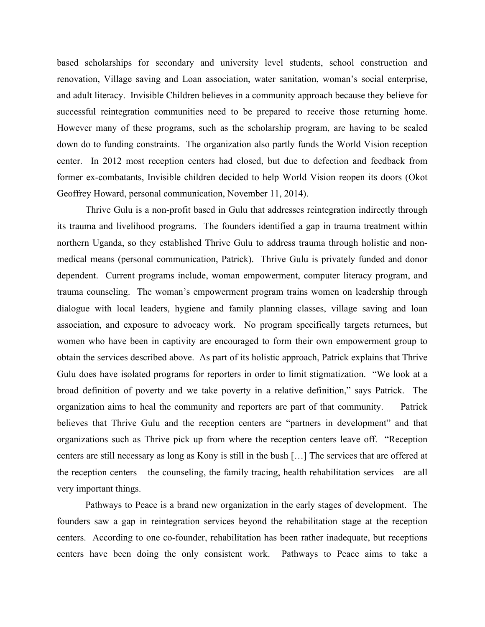based scholarships for secondary and university level students, school construction and renovation, Village saving and Loan association, water sanitation, woman's social enterprise, and adult literacy. Invisible Children believes in a community approach because they believe for successful reintegration communities need to be prepared to receive those returning home. However many of these programs, such as the scholarship program, are having to be scaled down do to funding constraints. The organization also partly funds the World Vision reception center. In 2012 most reception centers had closed, but due to defection and feedback from former ex-combatants, Invisible children decided to help World Vision reopen its doors (Okot Geoffrey Howard, personal communication, November 11, 2014).

Thrive Gulu is a non-profit based in Gulu that addresses reintegration indirectly through its trauma and livelihood programs. The founders identified a gap in trauma treatment within northern Uganda, so they established Thrive Gulu to address trauma through holistic and nonmedical means (personal communication, Patrick). Thrive Gulu is privately funded and donor dependent. Current programs include, woman empowerment, computer literacy program, and trauma counseling. The woman's empowerment program trains women on leadership through dialogue with local leaders, hygiene and family planning classes, village saving and loan association, and exposure to advocacy work. No program specifically targets returnees, but women who have been in captivity are encouraged to form their own empowerment group to obtain the services described above. As part of its holistic approach, Patrick explains that Thrive Gulu does have isolated programs for reporters in order to limit stigmatization. "We look at a broad definition of poverty and we take poverty in a relative definition," says Patrick. The organization aims to heal the community and reporters are part of that community. Patrick believes that Thrive Gulu and the reception centers are "partners in development" and that organizations such as Thrive pick up from where the reception centers leave off. "Reception centers are still necessary as long as Kony is still in the bush […] The services that are offered at the reception centers – the counseling, the family tracing, health rehabilitation services—are all very important things.

Pathways to Peace is a brand new organization in the early stages of development. The founders saw a gap in reintegration services beyond the rehabilitation stage at the reception centers. According to one co-founder, rehabilitation has been rather inadequate, but receptions centers have been doing the only consistent work. Pathways to Peace aims to take a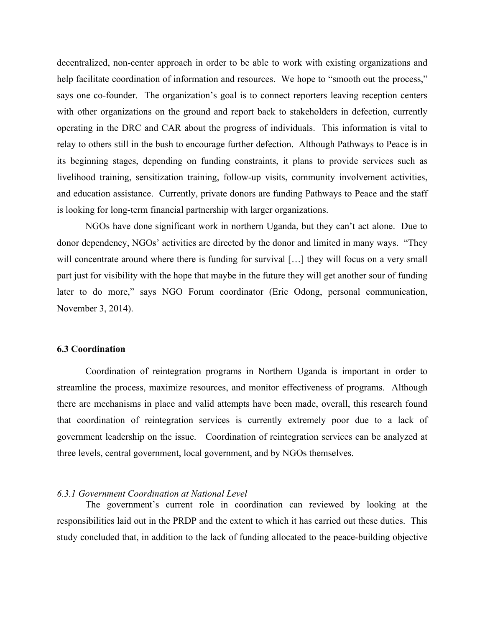decentralized, non-center approach in order to be able to work with existing organizations and help facilitate coordination of information and resources. We hope to "smooth out the process," says one co-founder. The organization's goal is to connect reporters leaving reception centers with other organizations on the ground and report back to stakeholders in defection, currently operating in the DRC and CAR about the progress of individuals. This information is vital to relay to others still in the bush to encourage further defection. Although Pathways to Peace is in its beginning stages, depending on funding constraints, it plans to provide services such as livelihood training, sensitization training, follow-up visits, community involvement activities, and education assistance. Currently, private donors are funding Pathways to Peace and the staff is looking for long-term financial partnership with larger organizations.

NGOs have done significant work in northern Uganda, but they can't act alone. Due to donor dependency, NGOs' activities are directed by the donor and limited in many ways. "They will concentrate around where there is funding for survival [...] they will focus on a very small part just for visibility with the hope that maybe in the future they will get another sour of funding later to do more," says NGO Forum coordinator (Eric Odong, personal communication, November 3, 2014).

#### **6.3 Coordination**

Coordination of reintegration programs in Northern Uganda is important in order to streamline the process, maximize resources, and monitor effectiveness of programs. Although there are mechanisms in place and valid attempts have been made, overall, this research found that coordination of reintegration services is currently extremely poor due to a lack of government leadership on the issue. Coordination of reintegration services can be analyzed at three levels, central government, local government, and by NGOs themselves.

#### *6.3.1 Government Coordination at National Level*

The government's current role in coordination can reviewed by looking at the responsibilities laid out in the PRDP and the extent to which it has carried out these duties. This study concluded that, in addition to the lack of funding allocated to the peace-building objective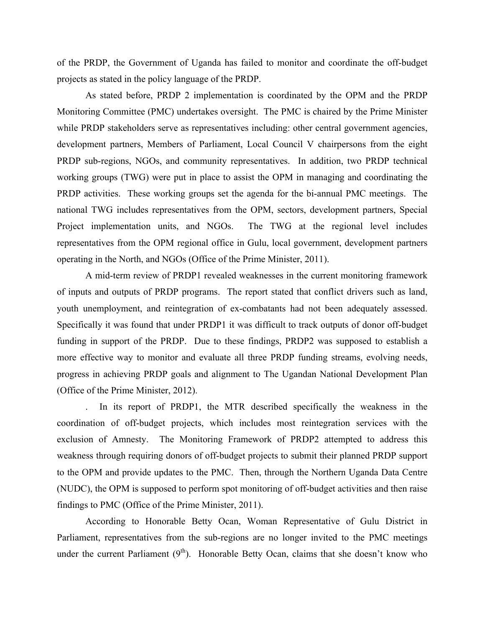of the PRDP, the Government of Uganda has failed to monitor and coordinate the off-budget projects as stated in the policy language of the PRDP.

As stated before, PRDP 2 implementation is coordinated by the OPM and the PRDP Monitoring Committee (PMC) undertakes oversight. The PMC is chaired by the Prime Minister while PRDP stakeholders serve as representatives including: other central government agencies, development partners, Members of Parliament, Local Council V chairpersons from the eight PRDP sub-regions, NGOs, and community representatives. In addition, two PRDP technical working groups (TWG) were put in place to assist the OPM in managing and coordinating the PRDP activities. These working groups set the agenda for the bi-annual PMC meetings. The national TWG includes representatives from the OPM, sectors, development partners, Special Project implementation units, and NGOs. The TWG at the regional level includes representatives from the OPM regional office in Gulu, local government, development partners operating in the North, and NGOs (Office of the Prime Minister, 2011).

A mid-term review of PRDP1 revealed weaknesses in the current monitoring framework of inputs and outputs of PRDP programs. The report stated that conflict drivers such as land, youth unemployment, and reintegration of ex-combatants had not been adequately assessed. Specifically it was found that under PRDP1 it was difficult to track outputs of donor off-budget funding in support of the PRDP. Due to these findings, PRDP2 was supposed to establish a more effective way to monitor and evaluate all three PRDP funding streams, evolving needs, progress in achieving PRDP goals and alignment to The Ugandan National Development Plan (Office of the Prime Minister, 2012).

. In its report of PRDP1, the MTR described specifically the weakness in the coordination of off-budget projects, which includes most reintegration services with the exclusion of Amnesty. The Monitoring Framework of PRDP2 attempted to address this weakness through requiring donors of off-budget projects to submit their planned PRDP support to the OPM and provide updates to the PMC. Then, through the Northern Uganda Data Centre (NUDC), the OPM is supposed to perform spot monitoring of off-budget activities and then raise findings to PMC (Office of the Prime Minister, 2011).

According to Honorable Betty Ocan, Woman Representative of Gulu District in Parliament, representatives from the sub-regions are no longer invited to the PMC meetings under the current Parliament  $(9<sup>th</sup>)$ . Honorable Betty Ocan, claims that she doesn't know who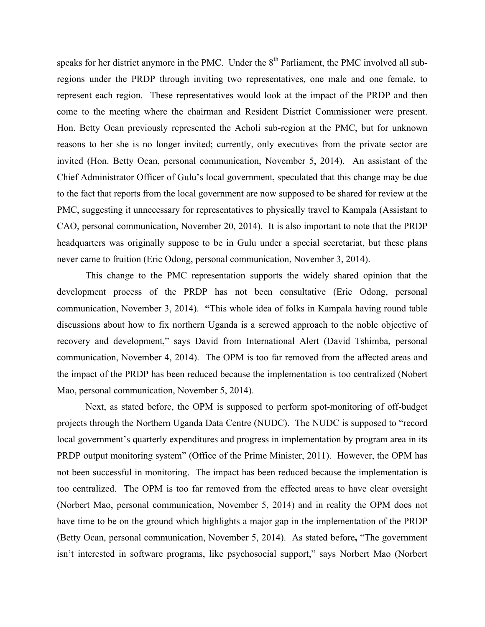speaks for her district anymore in the PMC. Under the 8<sup>th</sup> Parliament, the PMC involved all subregions under the PRDP through inviting two representatives, one male and one female, to represent each region. These representatives would look at the impact of the PRDP and then come to the meeting where the chairman and Resident District Commissioner were present. Hon. Betty Ocan previously represented the Acholi sub-region at the PMC, but for unknown reasons to her she is no longer invited; currently, only executives from the private sector are invited (Hon. Betty Ocan, personal communication, November 5, 2014). An assistant of the Chief Administrator Officer of Gulu's local government, speculated that this change may be due to the fact that reports from the local government are now supposed to be shared for review at the PMC, suggesting it unnecessary for representatives to physically travel to Kampala (Assistant to CAO, personal communication, November 20, 2014). It is also important to note that the PRDP headquarters was originally suppose to be in Gulu under a special secretariat, but these plans never came to fruition (Eric Odong, personal communication, November 3, 2014).

This change to the PMC representation supports the widely shared opinion that the development process of the PRDP has not been consultative (Eric Odong, personal communication, November 3, 2014). **"**This whole idea of folks in Kampala having round table discussions about how to fix northern Uganda is a screwed approach to the noble objective of recovery and development," says David from International Alert (David Tshimba, personal communication, November 4, 2014). The OPM is too far removed from the affected areas and the impact of the PRDP has been reduced because the implementation is too centralized (Nobert Mao, personal communication, November 5, 2014).

Next, as stated before, the OPM is supposed to perform spot-monitoring of off-budget projects through the Northern Uganda Data Centre (NUDC). The NUDC is supposed to "record local government's quarterly expenditures and progress in implementation by program area in its PRDP output monitoring system" (Office of the Prime Minister, 2011). However, the OPM has not been successful in monitoring. The impact has been reduced because the implementation is too centralized. The OPM is too far removed from the effected areas to have clear oversight (Norbert Mao, personal communication, November 5, 2014) and in reality the OPM does not have time to be on the ground which highlights a major gap in the implementation of the PRDP (Betty Ocan, personal communication, November 5, 2014). As stated before**,** "The government isn't interested in software programs, like psychosocial support," says Norbert Mao (Norbert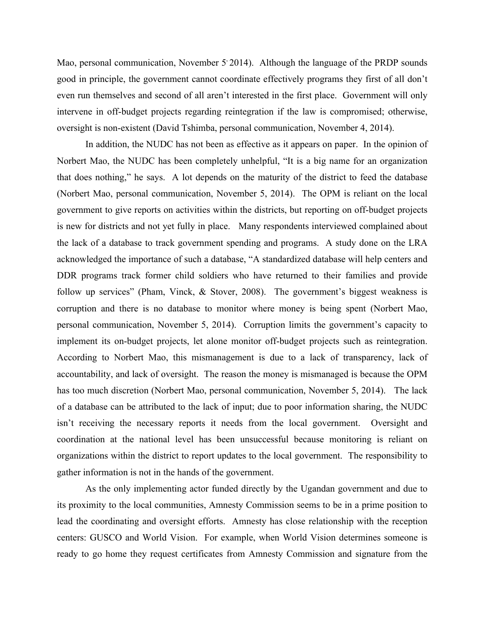Mao, personal communication, November 5'2014). Although the language of the PRDP sounds good in principle, the government cannot coordinate effectively programs they first of all don't even run themselves and second of all aren't interested in the first place. Government will only intervene in off-budget projects regarding reintegration if the law is compromised; otherwise, oversight is non-existent (David Tshimba, personal communication, November 4, 2014).

In addition, the NUDC has not been as effective as it appears on paper. In the opinion of Norbert Mao, the NUDC has been completely unhelpful, "It is a big name for an organization that does nothing," he says. A lot depends on the maturity of the district to feed the database (Norbert Mao, personal communication, November 5, 2014). The OPM is reliant on the local government to give reports on activities within the districts, but reporting on off-budget projects is new for districts and not yet fully in place. Many respondents interviewed complained about the lack of a database to track government spending and programs. A study done on the LRA acknowledged the importance of such a database, "A standardized database will help centers and DDR programs track former child soldiers who have returned to their families and provide follow up services" (Pham, Vinck, & Stover, 2008). The government's biggest weakness is corruption and there is no database to monitor where money is being spent (Norbert Mao, personal communication, November 5, 2014). Corruption limits the government's capacity to implement its on-budget projects, let alone monitor off-budget projects such as reintegration. According to Norbert Mao, this mismanagement is due to a lack of transparency, lack of accountability, and lack of oversight. The reason the money is mismanaged is because the OPM has too much discretion (Norbert Mao, personal communication, November 5, 2014). The lack of a database can be attributed to the lack of input; due to poor information sharing, the NUDC isn't receiving the necessary reports it needs from the local government. Oversight and coordination at the national level has been unsuccessful because monitoring is reliant on organizations within the district to report updates to the local government. The responsibility to gather information is not in the hands of the government.

As the only implementing actor funded directly by the Ugandan government and due to its proximity to the local communities, Amnesty Commission seems to be in a prime position to lead the coordinating and oversight efforts. Amnesty has close relationship with the reception centers: GUSCO and World Vision. For example, when World Vision determines someone is ready to go home they request certificates from Amnesty Commission and signature from the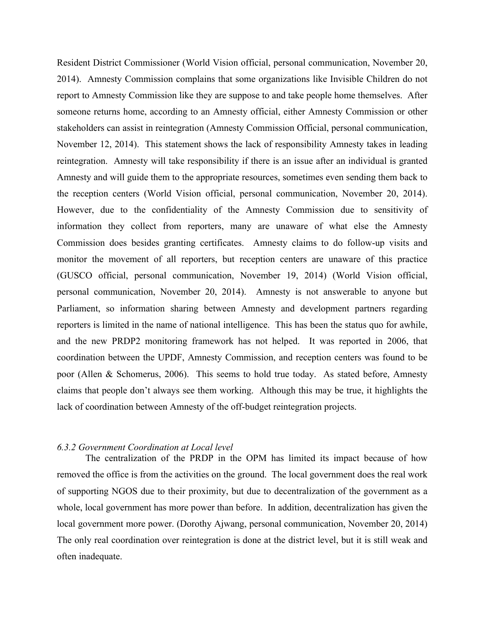Resident District Commissioner (World Vision official, personal communication, November 20, 2014). Amnesty Commission complains that some organizations like Invisible Children do not report to Amnesty Commission like they are suppose to and take people home themselves. After someone returns home, according to an Amnesty official, either Amnesty Commission or other stakeholders can assist in reintegration (Amnesty Commission Official, personal communication, November 12, 2014). This statement shows the lack of responsibility Amnesty takes in leading reintegration. Amnesty will take responsibility if there is an issue after an individual is granted Amnesty and will guide them to the appropriate resources, sometimes even sending them back to the reception centers (World Vision official, personal communication, November 20, 2014). However, due to the confidentiality of the Amnesty Commission due to sensitivity of information they collect from reporters, many are unaware of what else the Amnesty Commission does besides granting certificates. Amnesty claims to do follow-up visits and monitor the movement of all reporters, but reception centers are unaware of this practice (GUSCO official, personal communication, November 19, 2014) (World Vision official, personal communication, November 20, 2014). Amnesty is not answerable to anyone but Parliament, so information sharing between Amnesty and development partners regarding reporters is limited in the name of national intelligence. This has been the status quo for awhile, and the new PRDP2 monitoring framework has not helped. It was reported in 2006, that coordination between the UPDF, Amnesty Commission, and reception centers was found to be poor (Allen & Schomerus, 2006). This seems to hold true today. As stated before, Amnesty claims that people don't always see them working. Although this may be true, it highlights the lack of coordination between Amnesty of the off-budget reintegration projects.

#### *6.3.2 Government Coordination at Local level*

The centralization of the PRDP in the OPM has limited its impact because of how removed the office is from the activities on the ground. The local government does the real work of supporting NGOS due to their proximity, but due to decentralization of the government as a whole, local government has more power than before. In addition, decentralization has given the local government more power. (Dorothy Ajwang, personal communication, November 20, 2014) The only real coordination over reintegration is done at the district level, but it is still weak and often inadequate.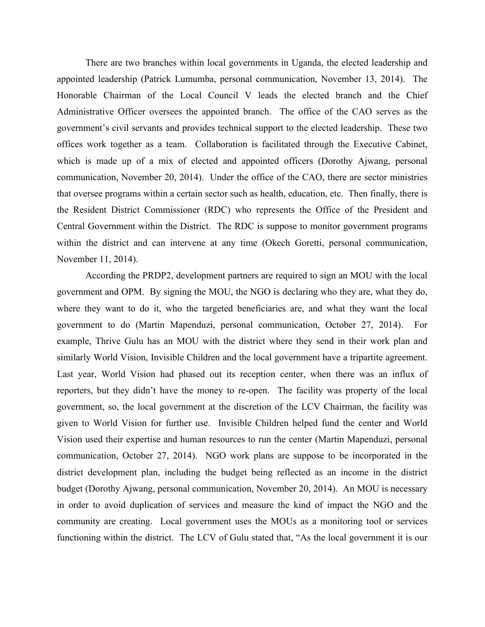There are two branches within local governments in Uganda, the elected leadership and appointed leadership (Patrick Lumumba, personal communication, November 13, 2014). The Honorable Chairman of the Local Council V leads the elected branch and the Chief Administrative Officer oversees the appointed branch. The office of the CAO serves as the government's civil servants and provides technical support to the elected leadership. These two offices work together as a team. Collaboration is facilitated through the Executive Cabinet, which is made up of a mix of elected and appointed officers (Dorothy Ajwang, personal communication, November 20, 2014). Under the office of the CAO, there are sector ministries that oversee programs within a certain sector such as health, education, etc. Then finally, there is the Resident District Commissioner (RDC) who represents the Office of the President and Central Government within the District. The RDC is suppose to monitor government programs within the district and can intervene at any time (Okech Goretti, personal communication, November 11, 2014).

According the PRDP2, development partners are required to sign an MOU with the local government and OPM. By signing the MOU, the NGO is declaring who they are, what they do, where they want to do it, who the targeted beneficiaries are, and what they want the local government to do (Martin Mapenduzi, personal communication, October 27, 2014). For example, Thrive Gulu has an MOU with the district where they send in their work plan and similarly World Vision, Invisible Children and the local government have a tripartite agreement. Last year, World Vision had phased out its reception center, when there was an influx of reporters, but they didn't have the money to re-open. The facility was property of the local government, so, the local government at the discretion of the LCV Chairman, the facility was given to World Vision for further use. Invisible Children helped fund the center and World Vision used their expertise and human resources to run the center (Martin Mapenduzi, personal communication, October 27, 2014). NGO work plans are suppose to be incorporated in the district development plan, including the budget being reflected as an income in the district budget (Dorothy Ajwang, personal communication, November 20, 2014). An MOU is necessary in order to avoid duplication of services and measure the kind of impact the NGO and the community are creating. Local government uses the MOUs as a monitoring tool or services functioning within the district. The LCV of Gulu stated that, "As the local government it is our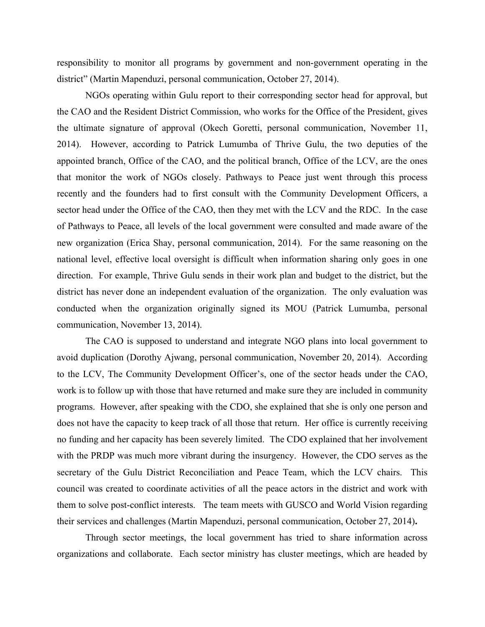responsibility to monitor all programs by government and non-government operating in the district" (Martin Mapenduzi, personal communication, October 27, 2014).

NGOs operating within Gulu report to their corresponding sector head for approval, but the CAO and the Resident District Commission, who works for the Office of the President, gives the ultimate signature of approval (Okech Goretti, personal communication, November 11, 2014). However, according to Patrick Lumumba of Thrive Gulu, the two deputies of the appointed branch, Office of the CAO, and the political branch, Office of the LCV, are the ones that monitor the work of NGOs closely. Pathways to Peace just went through this process recently and the founders had to first consult with the Community Development Officers, a sector head under the Office of the CAO, then they met with the LCV and the RDC. In the case of Pathways to Peace, all levels of the local government were consulted and made aware of the new organization (Erica Shay, personal communication, 2014). For the same reasoning on the national level, effective local oversight is difficult when information sharing only goes in one direction. For example, Thrive Gulu sends in their work plan and budget to the district, but the district has never done an independent evaluation of the organization. The only evaluation was conducted when the organization originally signed its MOU (Patrick Lumumba, personal communication, November 13, 2014).

The CAO is supposed to understand and integrate NGO plans into local government to avoid duplication (Dorothy Ajwang, personal communication, November 20, 2014). According to the LCV, The Community Development Officer's, one of the sector heads under the CAO, work is to follow up with those that have returned and make sure they are included in community programs. However, after speaking with the CDO, she explained that she is only one person and does not have the capacity to keep track of all those that return. Her office is currently receiving no funding and her capacity has been severely limited. The CDO explained that her involvement with the PRDP was much more vibrant during the insurgency. However, the CDO serves as the secretary of the Gulu District Reconciliation and Peace Team, which the LCV chairs. This council was created to coordinate activities of all the peace actors in the district and work with them to solve post-conflict interests. The team meets with GUSCO and World Vision regarding their services and challenges (Martin Mapenduzi, personal communication, October 27, 2014)**.**

Through sector meetings, the local government has tried to share information across organizations and collaborate. Each sector ministry has cluster meetings, which are headed by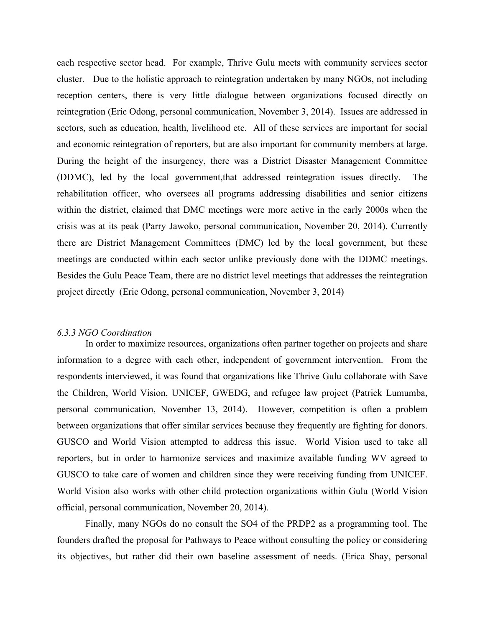each respective sector head. For example, Thrive Gulu meets with community services sector cluster. Due to the holistic approach to reintegration undertaken by many NGOs, not including reception centers, there is very little dialogue between organizations focused directly on reintegration (Eric Odong, personal communication, November 3, 2014). Issues are addressed in sectors, such as education, health, livelihood etc. All of these services are important for social and economic reintegration of reporters, but are also important for community members at large. During the height of the insurgency, there was a District Disaster Management Committee (DDMC), led by the local government,that addressed reintegration issues directly. The rehabilitation officer, who oversees all programs addressing disabilities and senior citizens within the district, claimed that DMC meetings were more active in the early 2000s when the crisis was at its peak (Parry Jawoko, personal communication, November 20, 2014). Currently there are District Management Committees (DMC) led by the local government, but these meetings are conducted within each sector unlike previously done with the DDMC meetings. Besides the Gulu Peace Team, there are no district level meetings that addresses the reintegration project directly (Eric Odong, personal communication, November 3, 2014)

#### *6.3.3 NGO Coordination*

In order to maximize resources, organizations often partner together on projects and share information to a degree with each other, independent of government intervention. From the respondents interviewed, it was found that organizations like Thrive Gulu collaborate with Save the Children, World Vision, UNICEF, GWEDG, and refugee law project (Patrick Lumumba, personal communication, November 13, 2014). However, competition is often a problem between organizations that offer similar services because they frequently are fighting for donors. GUSCO and World Vision attempted to address this issue. World Vision used to take all reporters, but in order to harmonize services and maximize available funding WV agreed to GUSCO to take care of women and children since they were receiving funding from UNICEF. World Vision also works with other child protection organizations within Gulu (World Vision official, personal communication, November 20, 2014).

Finally, many NGOs do no consult the SO4 of the PRDP2 as a programming tool. The founders drafted the proposal for Pathways to Peace without consulting the policy or considering its objectives, but rather did their own baseline assessment of needs. (Erica Shay, personal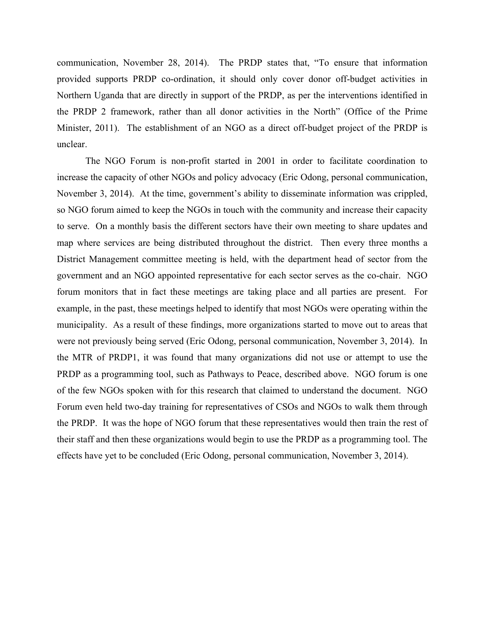communication, November 28, 2014). The PRDP states that, "To ensure that information provided supports PRDP co-ordination, it should only cover donor off-budget activities in Northern Uganda that are directly in support of the PRDP, as per the interventions identified in the PRDP 2 framework, rather than all donor activities in the North" (Office of the Prime Minister, 2011). The establishment of an NGO as a direct off-budget project of the PRDP is unclear.

The NGO Forum is non-profit started in 2001 in order to facilitate coordination to increase the capacity of other NGOs and policy advocacy (Eric Odong, personal communication, November 3, 2014). At the time, government's ability to disseminate information was crippled, so NGO forum aimed to keep the NGOs in touch with the community and increase their capacity to serve. On a monthly basis the different sectors have their own meeting to share updates and map where services are being distributed throughout the district. Then every three months a District Management committee meeting is held, with the department head of sector from the government and an NGO appointed representative for each sector serves as the co-chair. NGO forum monitors that in fact these meetings are taking place and all parties are present. For example, in the past, these meetings helped to identify that most NGOs were operating within the municipality. As a result of these findings, more organizations started to move out to areas that were not previously being served (Eric Odong, personal communication, November 3, 2014). In the MTR of PRDP1, it was found that many organizations did not use or attempt to use the PRDP as a programming tool, such as Pathways to Peace, described above. NGO forum is one of the few NGOs spoken with for this research that claimed to understand the document. NGO Forum even held two-day training for representatives of CSOs and NGOs to walk them through the PRDP. It was the hope of NGO forum that these representatives would then train the rest of their staff and then these organizations would begin to use the PRDP as a programming tool. The effects have yet to be concluded (Eric Odong, personal communication, November 3, 2014).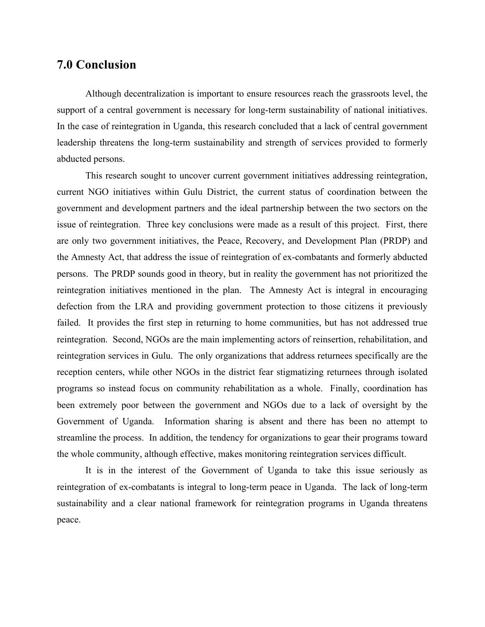## **7.0 Conclusion**

Although decentralization is important to ensure resources reach the grassroots level, the support of a central government is necessary for long-term sustainability of national initiatives. In the case of reintegration in Uganda, this research concluded that a lack of central government leadership threatens the long-term sustainability and strength of services provided to formerly abducted persons.

This research sought to uncover current government initiatives addressing reintegration, current NGO initiatives within Gulu District, the current status of coordination between the government and development partners and the ideal partnership between the two sectors on the issue of reintegration. Three key conclusions were made as a result of this project. First, there are only two government initiatives, the Peace, Recovery, and Development Plan (PRDP) and the Amnesty Act, that address the issue of reintegration of ex-combatants and formerly abducted persons. The PRDP sounds good in theory, but in reality the government has not prioritized the reintegration initiatives mentioned in the plan. The Amnesty Act is integral in encouraging defection from the LRA and providing government protection to those citizens it previously failed. It provides the first step in returning to home communities, but has not addressed true reintegration. Second, NGOs are the main implementing actors of reinsertion, rehabilitation, and reintegration services in Gulu. The only organizations that address returnees specifically are the reception centers, while other NGOs in the district fear stigmatizing returnees through isolated programs so instead focus on community rehabilitation as a whole. Finally, coordination has been extremely poor between the government and NGOs due to a lack of oversight by the Government of Uganda. Information sharing is absent and there has been no attempt to streamline the process. In addition, the tendency for organizations to gear their programs toward the whole community, although effective, makes monitoring reintegration services difficult.

It is in the interest of the Government of Uganda to take this issue seriously as reintegration of ex-combatants is integral to long-term peace in Uganda. The lack of long-term sustainability and a clear national framework for reintegration programs in Uganda threatens peace.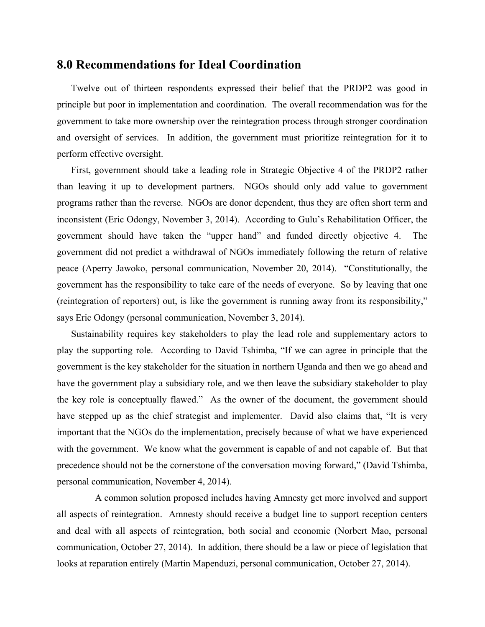### **8.0 Recommendations for Ideal Coordination**

Twelve out of thirteen respondents expressed their belief that the PRDP2 was good in principle but poor in implementation and coordination. The overall recommendation was for the government to take more ownership over the reintegration process through stronger coordination and oversight of services. In addition, the government must prioritize reintegration for it to perform effective oversight.

First, government should take a leading role in Strategic Objective 4 of the PRDP2 rather than leaving it up to development partners. NGOs should only add value to government programs rather than the reverse. NGOs are donor dependent, thus they are often short term and inconsistent (Eric Odongy, November 3, 2014). According to Gulu's Rehabilitation Officer, the government should have taken the "upper hand" and funded directly objective 4. The government did not predict a withdrawal of NGOs immediately following the return of relative peace (Aperry Jawoko, personal communication, November 20, 2014). "Constitutionally, the government has the responsibility to take care of the needs of everyone. So by leaving that one (reintegration of reporters) out, is like the government is running away from its responsibility," says Eric Odongy (personal communication, November 3, 2014).

Sustainability requires key stakeholders to play the lead role and supplementary actors to play the supporting role. According to David Tshimba, "If we can agree in principle that the government is the key stakeholder for the situation in northern Uganda and then we go ahead and have the government play a subsidiary role, and we then leave the subsidiary stakeholder to play the key role is conceptually flawed." As the owner of the document, the government should have stepped up as the chief strategist and implementer. David also claims that, "It is very important that the NGOs do the implementation, precisely because of what we have experienced with the government. We know what the government is capable of and not capable of. But that precedence should not be the cornerstone of the conversation moving forward," (David Tshimba, personal communication, November 4, 2014).

 A common solution proposed includes having Amnesty get more involved and support all aspects of reintegration. Amnesty should receive a budget line to support reception centers and deal with all aspects of reintegration, both social and economic (Norbert Mao, personal communication, October 27, 2014). In addition, there should be a law or piece of legislation that looks at reparation entirely (Martin Mapenduzi, personal communication, October 27, 2014).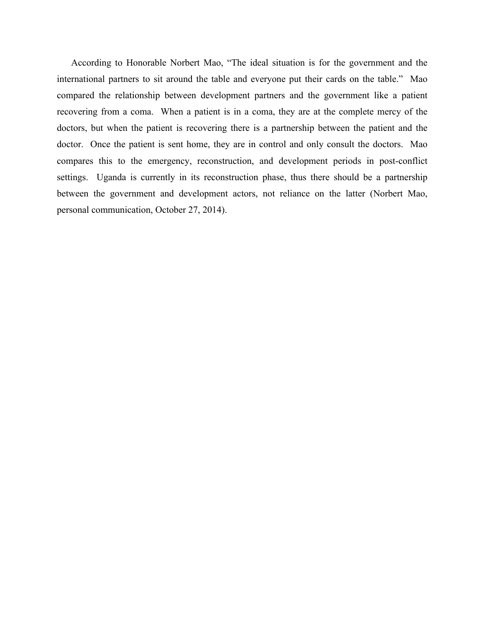According to Honorable Norbert Mao, "The ideal situation is for the government and the international partners to sit around the table and everyone put their cards on the table." Mao compared the relationship between development partners and the government like a patient recovering from a coma. When a patient is in a coma, they are at the complete mercy of the doctors, but when the patient is recovering there is a partnership between the patient and the doctor. Once the patient is sent home, they are in control and only consult the doctors. Mao compares this to the emergency, reconstruction, and development periods in post-conflict settings. Uganda is currently in its reconstruction phase, thus there should be a partnership between the government and development actors, not reliance on the latter (Norbert Mao, personal communication, October 27, 2014).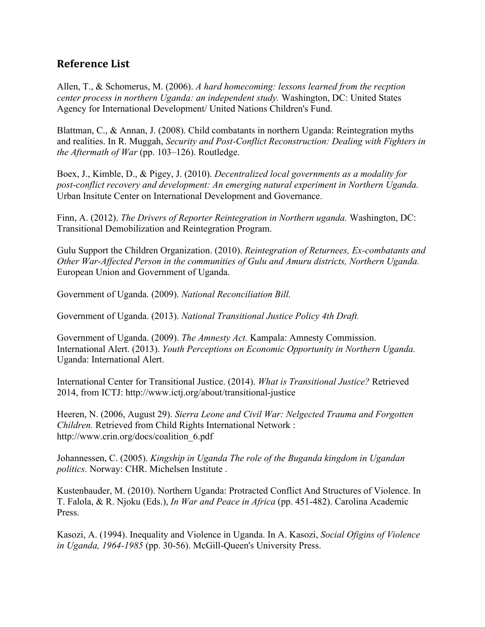## **Reference List**

Allen, T., & Schomerus, M. (2006). *A hard homecoming: lessons learned from the recption center process in northern Uganda: an independent study.* Washington, DC: United States Agency for International Development/ United Nations Children's Fund.

Blattman, C., & Annan, J. (2008). Child combatants in northern Uganda: Reintegration myths and realities. In R. Muggah, *Security and Post-Conflict Reconstruction: Dealing with Fighters in the Aftermath of War* (pp. 103–126). Routledge.

Boex, J., Kimble, D., & Pigey, J. (2010). *Decentralized local governments as a modality for post-conflict recovery and development: An emerging natural experiment in Northern Uganda.* Urban Insitute Center on International Development and Governance.

Finn, A. (2012). *The Drivers of Reporter Reintegration in Northern uganda.* Washington, DC: Transitional Demobilization and Reintegration Program.

Gulu Support the Children Organization. (2010). *Reintegration of Returnees, Ex-combatants and Other War-Affected Person in the communities of Gulu and Amuru districts, Northern Uganda.* European Union and Government of Uganda.

Government of Uganda. (2009). *National Reconciliation Bill.*

Government of Uganda. (2013). *National Transitional Justice Policy 4th Draft.*

Government of Uganda. (2009). *The Amnesty Act.* Kampala: Amnesty Commission. International Alert. (2013). *Youth Perceptions on Economic Opportunity in Northern Uganda.* Uganda: International Alert.

International Center for Transitional Justice. (2014). *What is Transitional Justice?* Retrieved 2014, from ICTJ: http://www.ictj.org/about/transitional-justice

Heeren, N. (2006, August 29). *Sierra Leone and Civil War: Nelgected Trauma and Forgotten Children.* Retrieved from Child Rights International Network : http://www.crin.org/docs/coalition\_6.pdf

Johannessen, C. (2005). *Kingship in Uganda The role of the Buganda kingdom in Ugandan politics.* Norway: CHR. Michelsen Institute .

Kustenbauder, M. (2010). Northern Uganda: Protracted Conflict And Structures of Violence. In T. Falola, & R. Njoku (Eds.), *In War and Peace in Africa* (pp. 451-482). Carolina Academic Press.

Kasozi, A. (1994). Inequality and Violence in Uganda. In A. Kasozi, *Social Ofigins of Violence in Uganda, 1964-1985* (pp. 30-56). McGill-Queen's University Press.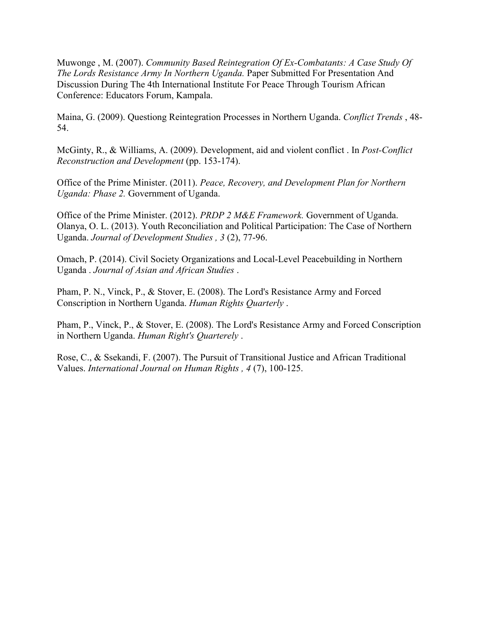Muwonge , M. (2007). *Community Based Reintegration Of Ex-Combatants: A Case Study Of The Lords Resistance Army In Northern Uganda.* Paper Submitted For Presentation And Discussion During The 4th International Institute For Peace Through Tourism African Conference: Educators Forum, Kampala.

Maina, G. (2009). Questiong Reintegration Processes in Northern Uganda. *Conflict Trends* , 48- 54.

McGinty, R., & Williams, A. (2009). Development, aid and violent conflict . In *Post-Conflict Reconstruction and Development* (pp. 153-174).

Office of the Prime Minister. (2011). *Peace, Recovery, and Development Plan for Northern Uganda: Phase 2.* Government of Uganda.

Office of the Prime Minister. (2012). *PRDP 2 M&E Framework.* Government of Uganda. Olanya, O. L. (2013). Youth Reconciliation and Political Participation: The Case of Northern Uganda. *Journal of Development Studies , 3* (2), 77-96.

Omach, P. (2014). Civil Society Organizations and Local-Level Peacebuilding in Northern Uganda . *Journal of Asian and African Studies* .

Pham, P. N., Vinck, P., & Stover, E. (2008). The Lord's Resistance Army and Forced Conscription in Northern Uganda. *Human Rights Quarterly* .

Pham, P., Vinck, P., & Stover, E. (2008). The Lord's Resistance Army and Forced Conscription in Northern Uganda. *Human Right's Quarterely* .

Rose, C., & Ssekandi, F. (2007). The Pursuit of Transitional Justice and African Traditional Values. *International Journal on Human Rights , 4* (7), 100-125.